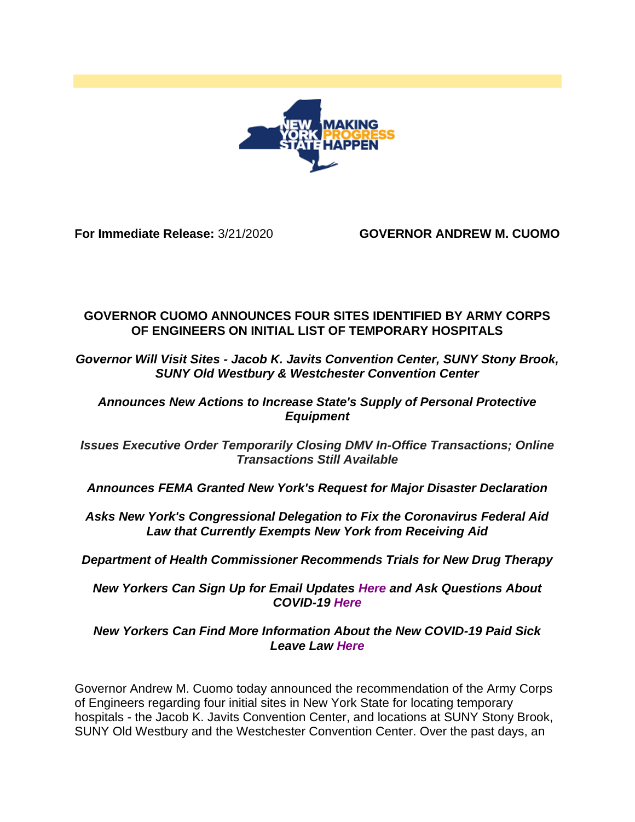

**For Immediate Release:** 3/21/2020 **GOVERNOR ANDREW M. CUOMO**

## **GOVERNOR CUOMO ANNOUNCES FOUR SITES IDENTIFIED BY ARMY CORPS OF ENGINEERS ON INITIAL LIST OF TEMPORARY HOSPITALS**

*Governor Will Visit Sites - Jacob K. Javits Convention Center, SUNY Stony Brook, SUNY Old Westbury & Westchester Convention Center*

## *Announces New Actions to Increase State's Supply of Personal Protective Equipment*

*Issues Executive Order Temporarily Closing DMV In-Office Transactions; Online Transactions Still Available*

*Announces FEMA Granted New York's Request for Major Disaster Declaration*

*Asks New York's Congressional Delegation to Fix the Coronavirus Federal Aid Law that Currently Exempts New York from Receiving Aid*

*Department of Health Commissioner Recommends Trials for New Drug Therapy*

*New Yorkers Can Sign Up for Email Updates [Here](https://now.ny.gov/page/s/coronavirus-updates) and Ask Questions About COVID-19 [Here](https://coronavirus.health.ny.gov/form/ask-us-a-question)*

*New Yorkers Can Find More Information About the New COVID-19 Paid Sick Leave Law [Here](https://www.governor.ny.gov/programs/paid-sick-leave-covid-19-impacted-new-yorkers)*

Governor Andrew M. Cuomo today announced the recommendation of the Army Corps of Engineers regarding four initial sites in New York State for locating temporary hospitals - the Jacob K. Javits Convention Center, and locations at SUNY Stony Brook, SUNY Old Westbury and the Westchester Convention Center. Over the past days, an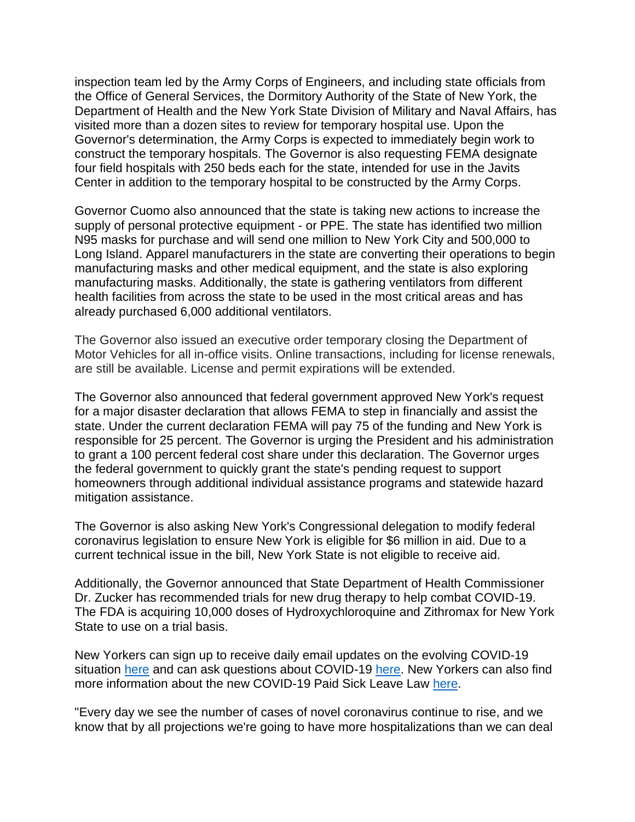inspection team led by the Army Corps of Engineers, and including state officials from the Office of General Services, the Dormitory Authority of the State of New York, the Department of Health and the New York State Division of Military and Naval Affairs, has visited more than a dozen sites to review for temporary hospital use. Upon the Governor's determination, the Army Corps is expected to immediately begin work to construct the temporary hospitals. The Governor is also requesting FEMA designate four field hospitals with 250 beds each for the state, intended for use in the Javits Center in addition to the temporary hospital to be constructed by the Army Corps.

Governor Cuomo also announced that the state is taking new actions to increase the supply of personal protective equipment - or PPE. The state has identified two million N95 masks for purchase and will send one million to New York City and 500,000 to Long Island. Apparel manufacturers in the state are converting their operations to begin manufacturing masks and other medical equipment, and the state is also exploring manufacturing masks. Additionally, the state is gathering ventilators from different health facilities from across the state to be used in the most critical areas and has already purchased 6,000 additional ventilators.

The Governor also issued an executive order temporary closing the Department of Motor Vehicles for all in-office visits. Online transactions, including for license renewals, are still be available. License and permit expirations will be extended.

The Governor also announced that federal government approved New York's request for a major disaster declaration that allows FEMA to step in financially and assist the state. Under the current declaration FEMA will pay 75 of the funding and New York is responsible for 25 percent. The Governor is urging the President and his administration to grant a 100 percent federal cost share under this declaration. The Governor urges the federal government to quickly grant the state's pending request to support homeowners through additional individual assistance programs and statewide hazard mitigation assistance.

The Governor is also asking New York's Congressional delegation to modify federal coronavirus legislation to ensure New York is eligible for \$6 million in aid. Due to a current technical issue in the bill, New York State is not eligible to receive aid.

Additionally, the Governor announced that State Department of Health Commissioner Dr. Zucker has recommended trials for new drug therapy to help combat COVID-19. The FDA is acquiring 10,000 doses of Hydroxychloroquine and Zithromax for New York State to use on a trial basis.

New Yorkers can sign up to receive daily email updates on the evolving COVID-19 situation [here](https://now.ny.gov/page/s/coronavirus-updates) and can ask questions about COVID-19 [here.](https://coronavirus.health.ny.gov/form/ask-us-a-question) New Yorkers can also find more information about the new COVID-19 Paid Sick Leave Law [here.](https://www.governor.ny.gov/programs/paid-sick-leave-covid-19-impacted-new-yorkers)

"Every day we see the number of cases of novel coronavirus continue to rise, and we know that by all projections we're going to have more hospitalizations than we can deal